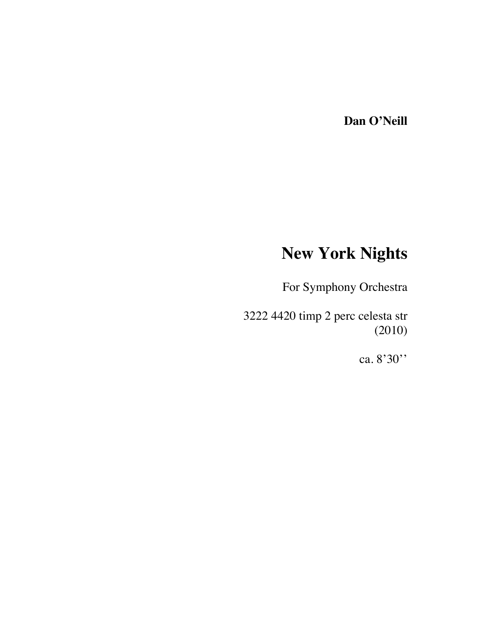**Dan O'Neill**

## **New York Nights**

For Symphony Orchestra

3222 4420 timp 2 perc celesta str (2010)

ca. 8'30''